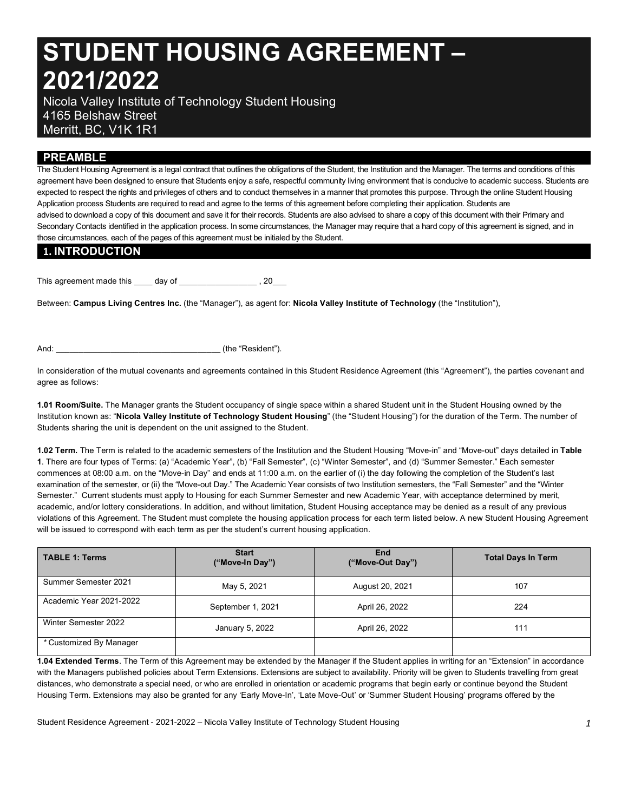# **STUDENT HOUSING AGREEMENT – 2021/2022**

 Nicola Valley Institute of Technology Student Housing 4165 Belshaw Street Merritt, BC, V1K 1R1

## **PREAMBLE**

 The Student Housing Agreement is a legal contract that outlines the obligations of the Student, the Institution and the Manager. The terms and conditions of this agreement have been designed to ensure that Students enjoy a safe, respectful community living environment that is conducive to academic success. Students are expected to respect the rights and privileges of others and to conduct themselves in a manner that promotes this purpose. Through the online Student Housing Application process Students are required to read and agree to the terms of this agreement before completing their application. Students are advised to download a copy of this document and save it for their records. Students are also advised to share a copy of this document with their Primary and Secondary Contacts identified in the application process. In some circumstances, the Manager may require that a hard copy of this agreement is signed, and in those circumstances, each of the pages of this agreement must be initialed by the Student.

## **1. INTRODUCTION**

This agreement made this day of example and provide the state of  $\sim$ 

 Between: **Campus Living Centres Inc.** (the "Manager"), as agent for: **Nicola Valley Institute of Technology** (the "Institution"),

And:  $\qquad \qquad$  (the "Resident").

 In consideration of the mutual covenants and agreements contained in this Student Residence Agreement (this "Agreement"), the parties covenant and agree as follows:

 **1.01 Room/Suite.** The Manager grants the Student occupancy of single space within a shared Student unit in the Student Housing owned by the  Institution known as: "**Nicola Valley Institute of Technology Student Housing**" (the "Student Housing") for the duration of the Term. The number of Students sharing the unit is dependent on the unit assigned to the Student.

 **1.02 Term.** The Term is related to the academic semesters of the Institution and the Student Housing "Move-in" and "Move-out" days detailed in **Table 1**. There are four types of Terms: (a) "Academic Year", (b) "Fall Semester", (c) "Winter Semester", and (d) "Summer Semester." Each semester commences at 08:00 a.m. on the "Move-in Day" and ends at 11:00 a.m. on the earlier of (i) the day following the completion of the Student's last examination of the semester, or (ii) the "Move-out Day." The Academic Year consists of two Institution semesters, the "Fall Semester" and the "Winter Semester." Current students must apply to Housing for each Summer Semester and new Academic Year, with acceptance determined by merit, academic, and/or lottery considerations. In addition, and without limitation, Student Housing acceptance may be denied as a result of any previous violations of this Agreement. The Student must complete the housing application process for each term listed below. A new Student Housing Agreement will be issued to correspond with each term as per the student's current housing application.

| <b>TABLE 1: Terms</b>   | <b>Start</b><br>("Move-In Day") | End<br>("Move-Out Day") | <b>Total Days In Term</b> |  |
|-------------------------|---------------------------------|-------------------------|---------------------------|--|
| Summer Semester 2021    | May 5, 2021                     | August 20, 2021         | 107                       |  |
| Academic Year 2021-2022 | September 1, 2021               | April 26, 2022          | 224                       |  |
| Winter Semester 2022    | January 5, 2022                 | April 26, 2022          | 111                       |  |
| * Customized By Manager |                                 |                         |                           |  |

 **1.04 Extended Terms**. The Term of this Agreement may be extended by the Manager if the Student applies in writing for an "Extension" in accordance with the Managers published policies about Term Extensions. Extensions are subject to availability. Priority will be given to Students travelling from great distances, who demonstrate a special need, or who are enrolled in orientation or academic programs that begin early or continue beyond the Student Housing Term. Extensions may also be granted for any 'Early Move-In', 'Late Move-Out' or 'Summer Student Housing' programs offered by the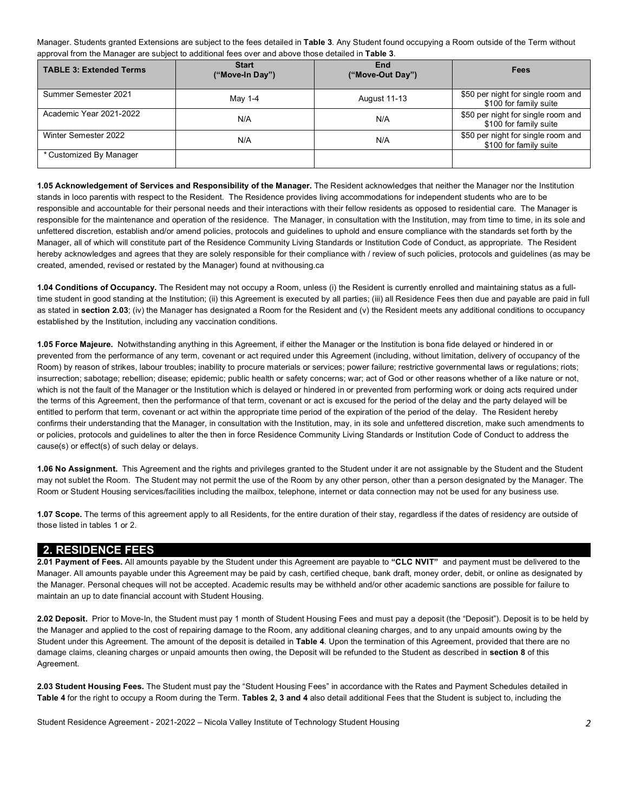Manager. Students granted Extensions are subject to the fees detailed in **Table 3**. Any Student found occupying a Room outside of the Term without approval from the Manager are subject to additional fees over and above those detailed in **Table 3**.

| <b>TABLE 3: Extended Terms</b> | <b>Start</b><br>("Move-In Day") | End<br>("Move-Out Day") | Fees                                                         |  |
|--------------------------------|---------------------------------|-------------------------|--------------------------------------------------------------|--|
| Summer Semester 2021           | May 1-4                         | <b>August 11-13</b>     | \$50 per night for single room and<br>\$100 for family suite |  |
| Academic Year 2021-2022        | N/A                             | N/A                     | \$50 per night for single room and<br>\$100 for family suite |  |
| Winter Semester 2022           | N/A                             | N/A                     | \$50 per night for single room and<br>\$100 for family suite |  |
| * Customized By Manager        |                                 |                         |                                                              |  |

 **1.05 Acknowledgement of Services and Responsibility of the Manager.** The Resident acknowledges that neither the Manager nor the Institution stands in loco parentis with respect to the Resident. The Residence provides living accommodations for independent students who are to be responsible and accountable for their personal needs and their interactions with their fellow residents as opposed to residential care. The Manager is responsible for the maintenance and operation of the residence. The Manager, in consultation with the Institution, may from time to time, in its sole and unfettered discretion, establish and/or amend policies, protocols and guidelines to uphold and ensure compliance with the standards set forth by the Manager, all of which will constitute part of the Residence Community Living Standards or Institution Code of Conduct, as appropriate. The Resident hereby acknowledges and agrees that they are solely responsible for their compliance with / review of such policies, protocols and guidelines (as may be created, amended, revised or restated by the Manager) found at [nvithousing.ca](https://nvithousing.ca)

 time student in good standing at the Institution; (ii) this Agreement is executed by all parties; (iii) all Residence Fees then due and payable are paid in full as stated in **section 2.03**; (iv) the Manager has designated a Room for the Resident and (v) the Resident meets any additional conditions to occupancy **1.04 Conditions of Occupancy.** The Resident may not occupy a Room, unless (i) the Resident is currently enrolled and maintaining status as a fullestablished by the Institution, including any vaccination conditions.

 **1.05 Force Majeure.** Notwithstanding anything in this Agreement, if either the Manager or the Institution is bona fide delayed or hindered in or prevented from the performance of any term, covenant or act required under this Agreement (including, without limitation, delivery of occupancy of the Room) by reason of strikes, labour troubles; inability to procure materials or services; power failure; restrictive governmental laws or regulations; riots; insurrection; sabotage; rebellion; disease; epidemic; public health or safety concerns; war; act of God or other reasons whether of a like nature or not, which is not the fault of the Manager or the Institution which is delayed or hindered in or prevented from performing work or doing acts required under the terms of this Agreement, then the performance of that term, covenant or act is excused for the period of the delay and the party delayed will be entitled to perform that term, covenant or act within the appropriate time period of the expiration of the period of the delay. The Resident hereby confirms their understanding that the Manager, in consultation with the Institution, may, in its sole and unfettered discretion, make such amendments to or policies, protocols and guidelines to alter the then in force Residence Community Living Standards or Institution Code of Conduct to address the cause(s) or effect(s) of such delay or delays.

 **1.06 No Assignment.** This Agreement and the rights and privileges granted to the Student under it are not assignable by the Student and the Student may not sublet the Room. The Student may not permit the use of the Room by any other person, other than a person designated by the Manager. The Room or Student Housing services/facilities including the mailbox, telephone, internet or data connection may not be used for any business use.

 **1.07 Scope.** The terms of this agreement apply to all Residents, for the entire duration of their stay, regardless if the dates of residency are outside of those listed in tables 1 or 2.

### **2. RESIDENCE FEES**

 Manager. All amounts payable under this Agreement may be paid by cash, certified cheque, bank draft, money order, debit, or online as designated by the Manager. Personal cheques will not be accepted. Academic results may be withheld and/or other academic sanctions are possible for failure to maintain an up to date financial account with Student Housing. **2.01 Payment of Fees.** All amounts payable by the Student under this Agreement are payable to **"CLC NVIT"** and payment must be delivered to the

 **2.02 Deposit.** Prior to Move-In, the Student must pay 1 month of Student Housing Fees and must pay a deposit (the "Deposit"). Deposit is to be held by the Manager and applied to the cost of repairing damage to the Room, any additional cleaning charges, and to any unpaid amounts owing by the Student under this Agreement. The amount of the deposit is detailed in **Table 4**. Upon the termination of this Agreement, provided that there are no damage claims, cleaning charges or unpaid amounts then owing, the Deposit will be refunded to the Student as described in **section 8** of this Agreement.

 **2.03 Student Housing Fees.** The Student must pay the "Student Housing Fees" in accordance with the Rates and Payment Schedules detailed in **Table 4** for the right to occupy a Room during the Term. **Tables 2, 3 and 4** also detail additional Fees that the Student is subject to, including the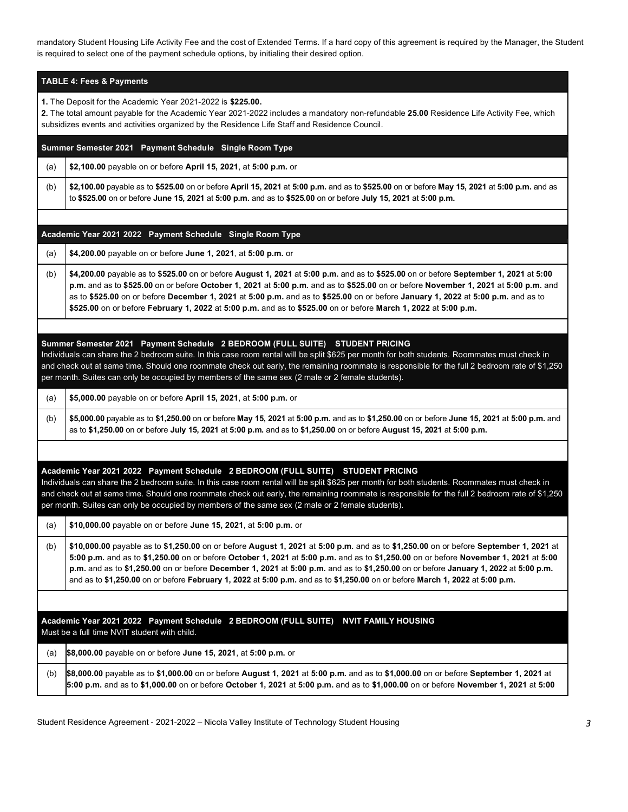mandatory Student Housing Life Activity Fee and the cost of Extended Terms. If a hard copy of this agreement is required by the Manager, the Student is required to select one of the payment schedule options, by initialing their desired option.

| <b>TABLE 4: Fees &amp; Payments</b> |  |
|-------------------------------------|--|
|                                     |  |

**1.** The Deposit for the Academic Year 2021-2022 is **\$225.00.** 

**2.** The total amount payable for the Academic Year 2021-2022 includes a mandatory non-refundable **25.00** Residence Life Activity Fee, which subsidizes events and activities organized by the Residence Life Staff and Residence Council.

| Summer Semester 2021 Payment Schedule Single Room Type |  |
|--------------------------------------------------------|--|

(a) **[\\$2,100.00](https://2,100.00)** payable on or before **April 15, 2021**, at **5:00 p.m.** or

 (b) **[\\$2,100.00](https://2,100.00)** payable as to **\$525.00** on or before **April 15, 2021** at **5:00 p.m.** and as to **\$525.00** on or before **May 15, 2021** at **5:00 p.m.** and as to **\$525.00** on or before **June 15, 2021** at **5:00 p.m.** and as to **\$525.00** on or before **July 15, 2021** at **5:00 p.m.** 

#### **- - - Academic Year 2021 2022 Payment Schedule Single Room Type**

(a) **[\\$4,200.00](https://4,200.00)** payable on or before **June 1, 2021**, at **5:00 p.m.** or

 (b) **[\\$4,200.00](https://4,200.00)** payable as to **\$525.00** on or before **August 1, 2021** at **5:00 p.m.** and as to **\$525.00** on or before **September 1, 2021** at **5:00 p.m.** and as to **\$525.00** on or before **October 1, 2021** at **5:00 p.m.** and as to **\$525.00** on or before **November 1, 2021** at **5:00 p.m.** and as to **\$525.00** on or before **December 1, 2021** at **5:00 p.m.** and as to **\$525.00** on or before **January 1, 2022** at **5:00 p.m.** and as to **\$525.00** on or before **February 1, 2022** at **5:00 p.m.** and as to **\$525.00** on or before **March 1, 2022** at **5:00 p.m.** 

#### **- - – Summer Semester 2021 Payment Schedule 2 BEDROOM (FULL SUITE) STUDENT PRICING**

 Individuals can share the 2 bedroom suite. In this case room rental will be split \$625 per month for both students. Roommates must check in and check out at same time. Should one roommate check out early, the remaining roommate is responsible for the full 2 bedroom rate of \$1,250 per month. Suites can only be occupied by members of the same sex (2 male or 2 female students).

(a) **[\\$5,000.00](https://5,000.00)** payable on or before **April 15, 2021**, at **5:00 p.m.** or

 (b) **[\\$5,000.00](https://5,000.00)** payable as to **[\\$1,250.00](https://1,250.00)** on or before **May 15, 2021** at **5:00 p.m.** and as to **[\\$1,250.00](https://1,250.00)** on or before **June 15, 2021** at **5:00 p.m.** and as to **\$[1,250.00](https://1,250.00)** on or before **July 15, 2021** at **5:00 p.m.** and as to **[\\$1,250.00](https://1,250.00)** on or before **August 15, 2021** at **5:00 p.m.** 

#### **- - - – Academic Year 2021 2022 Payment Schedule 2 BEDROOM (FULL SUITE) STUDENT PRICING**

 Individuals can share the 2 bedroom suite. In this case room rental will be split \$625 per month for both students. Roommates must check in and check out at same time. Should one roommate check out early, the remaining roommate is responsible for the full 2 bedroom rate of \$1,250 per month. Suites can only be occupied by members of the same sex (2 male or 2 female students).

(a) **[\\$10,000.00](https://10,000.00)** payable on or before **June 15, 2021**, at **5:00 p.m.** or

 (b) **[\\$10,000.00](https://10,000.00)** payable as to **[\\$1,250.00](https://1,250.00)** on or before **August 1, 2021** at **5:00 p.m.** and as to **\$[1,250.00](https://1,250.00)** on or before **September 1, 2021** at **5:00 p.m.** and as to **[\\$1,250.00](https://1,250.00)** on or before **October 1, 2021** at **5:00 p.m.** and as to **\$[1,250.00](https://1,250.00)** on or before **November 1, 2021** at **5:00 p.m.** and as to **\$[1,250.00](https://1,250.00)** on or before **December 1, 2021** at **5:00 p.m.** and as to **\$[1,250.00](https://1,250.00)** on or before **January 1, 2022** at **5:00 p.m.**  and as to **[\\$1,250.00](https://1,250.00)** on or before **February 1, 2022** at **5:00 p.m.** and as to **[\\$1,250.00](https://1,250.00)** on or before **March 1, 2022** at **5:00 p.m.** 

 **- - - – Academic Year 2021 2022 Payment Schedule 2 BEDROOM (FULL SUITE) NVIT FAMILY HOUSING**  - Must be a full time NVIT student with child.

 (a) **[\\$8,000.00](https://8,000.00)** payable on or before **June 15, 2021**, at **5:00 p.m.** or (b) **[\\$8,000.00](https://8,000.00)** payable as to **[\\$1,000.00](https://1,000.00)** on or before **August 1, 2021** at **5:00 p.m.** and as to **\$[1,000.00](https://1,000.00)** on or before **September 1, 2021** at **5:00 p.m.** and as to **[\\$1,000.00](https://1,000.00)** on or before **October 1, 2021** at **5:00 p.m.** and as to **[\\$1,000.00](https://1,000.00)** on or before **November 1, 2021** at **5:00**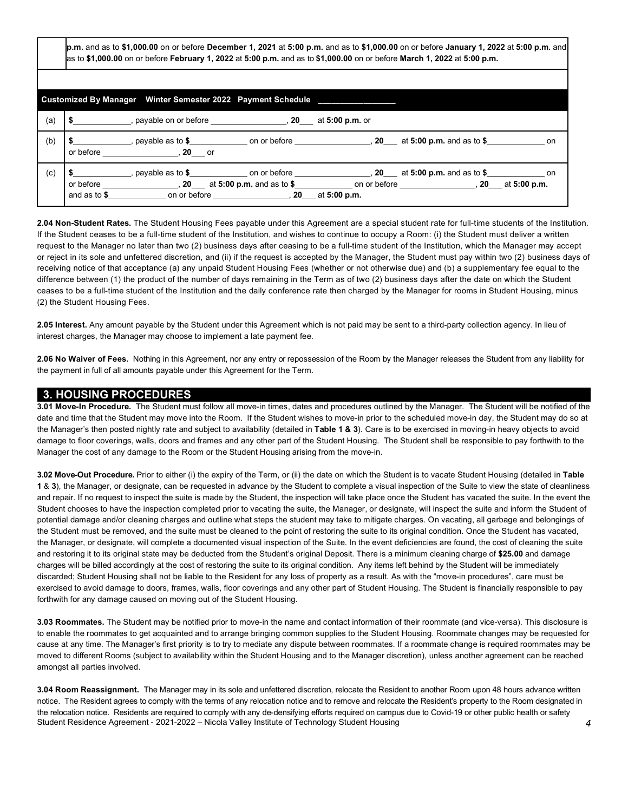**p.m.** and as to **\$1,000.00** on or before **December 1, 2021** at **5:00 p.m.** and as to **\$1,000.00** on or before **January 1, 2022** at **5:00 p.m.** and  as to **\$1,000.00** on or before **February 1, 2022** at **5:00 p.m.** and as to **\$1,000.00** on or before **March 1, 2022** at **5:00 p.m.** 

|     | Customized By Manager Winter Semester 2022 Payment Schedule                                                                                                                                                                                                                                                                                                                                                                           |
|-----|---------------------------------------------------------------------------------------------------------------------------------------------------------------------------------------------------------------------------------------------------------------------------------------------------------------------------------------------------------------------------------------------------------------------------------------|
| (a) | , payable on or before $\sim$ , 20 at 5:00 p.m. or                                                                                                                                                                                                                                                                                                                                                                                    |
| (b) | , payable as to $\text{\$}$ <b>b</b> on or before the section of the section of the section of $\text{\$}$<br>on<br>or before<br>$.20$ or                                                                                                                                                                                                                                                                                             |
| (c) | , payable as to $\ $$ on or before $\  \  \,$ , 20 $\  \ $ at 5:00 p.m. and as to $\ $$<br>on<br>, 20 at 5:00 p.m. and as to \$ on or before $\sim$ , 20 at 5:00 p.m.<br>or before<br>and as to $$$<br>on or before the contract of the contract of the contract of the contract of the contract of the contract of the contract of the contract of the contract of the contract of the contract of the contract of the contract of t |

 **2.04 Non-Student Rates.** The Student Housing Fees payable under this Agreement are a special student rate for full-time students of the Institution. If the Student ceases to be a full-time student of the Institution, and wishes to continue to occupy a Room: (i) the Student must deliver a written request to the Manager no later than two (2) business days after ceasing to be a full-time student of the Institution, which the Manager may accept or reject in its sole and unfettered discretion, and (ii) if the request is accepted by the Manager, the Student must pay within two (2) business days of receiving notice of that acceptance (a) any unpaid Student Housing Fees (whether or not otherwise due) and (b) a supplementary fee equal to the difference between (1) the product of the number of days remaining in the Term as of two (2) business days after the date on which the Student ceases to be a full-time student of the Institution and the daily conference rate then charged by the Manager for rooms in Student Housing, minus (2) the Student Housing Fees.

 **2.05 Interest.** Any amount payable by the Student under this Agreement which is not paid may be sent to a third-party collection agency. In lieu of interest charges, the Manager may choose to implement a late payment fee.

 **2.06 No Waiver of Fees.** Nothing in this Agreement, nor any entry or repossession of the Room by the Manager releases the Student from any liability for the payment in full of all amounts payable under this Agreement for the Term.

#### **3. HOUSING PROCEDURES**

 **3.01 Move-In Procedure.** The Student must follow all move-in times, dates and procedures outlined by the Manager. The Student will be notified of the date and time that the Student may move into the Room. If the Student wishes to move-in prior to the scheduled move-in day, the Student may do so at the Manager's then posted nightly rate and subject to availability (detailed in **Table 1 & 3**). Care is to be exercised in moving-in heavy objects to avoid damage to floor coverings, walls, doors and frames and any other part of the Student Housing. The Student shall be responsible to pay forthwith to the Manager the cost of any damage to the Room or the Student Housing arising from the move-in.

 **3.02 Move-Out Procedure.** Prior to either (i) the expiry of the Term, or (ii) the date on which the Student is to vacate Student Housing (detailed in **Table 1** & **3**), the Manager, or designate, can be requested in advance by the Student to complete a visual inspection of the Suite to view the state of cleanliness and repair. If no request to inspect the suite is made by the Student, the inspection will take place once the Student has vacated the suite. In the event the Student chooses to have the inspection completed prior to vacating the suite, the Manager, or designate, will inspect the suite and inform the Student of potential damage and/or cleaning charges and outline what steps the student may take to mitigate charges. On vacating, all garbage and belongings of the Student must be removed, and the suite must be cleaned to the point of restoring the suite to its original condition. Once the Student has vacated, the Manager, or designate, will complete a documented visual inspection of the Suite. In the event deficiencies are found, the cost of cleaning the suite and restoring it to its original state may be deducted from the Student's original Deposit. There is a minimum cleaning charge of **\$25.00** and damage charges will be billed accordingly at the cost of restoring the suite to its original condition. Any items left behind by the Student will be immediately discarded; Student Housing shall not be liable to the Resident for any loss of property as a result. As with the "move-in procedures", care must be exercised to avoid damage to doors, frames, walls, floor coverings and any other part of Student Housing. The Student is financially responsible to pay forthwith for any damage caused on moving out of the Student Housing.

 **3.03 Roommates.** The Student may be notified prior to move-in the name and contact information of their roommate (and vice-versa). This disclosure is to enable the roommates to get acquainted and to arrange bringing common supplies to the Student Housing. Roommate changes may be requested for cause at any time. The Manager's first priority is to try to mediate any dispute between roommates. If a roommate change is required roommates may be moved to different Rooms (subject to availability within the Student Housing and to the Manager discretion), unless another agreement can be reached amongst all parties involved.

 Student Residence Agreement - 2021-2022 – Nicola Valley Institute of Technology Student Housing *4*  **3.04 Room Reassignment.** The Manager may in its sole and unfettered discretion, relocate the Resident to another Room upon 48 hours advance written notice. The Resident agrees to comply with the terms of any relocation notice and to remove and relocate the Resident's property to the Room designated in the relocation notice. Residents are required to comply with any de-densifying efforts required on campus due to Covid-19 or other public health or safety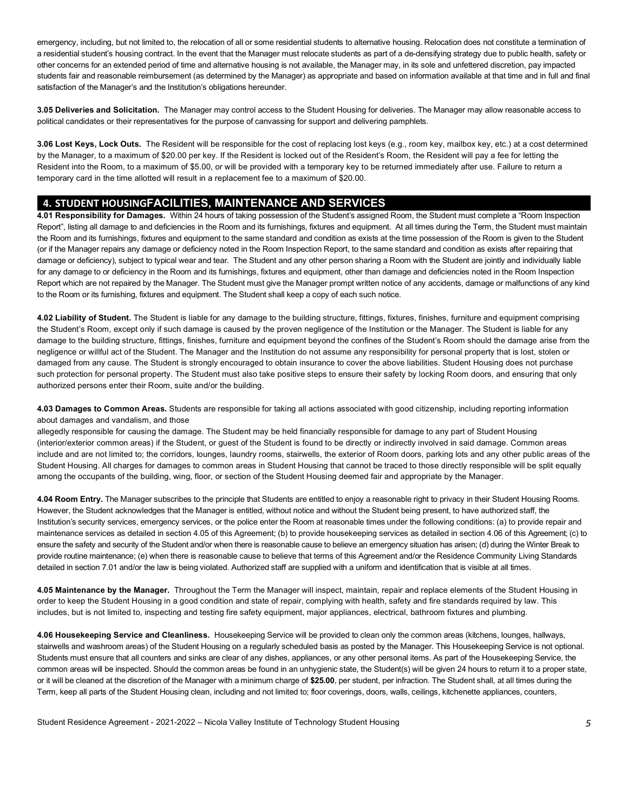emergency, including, but not limited to, the relocation of all or some residential students to alternative housing. Relocation does not constitute a termination of a residential student's housing contract. In the event that the Manager must relocate students as part of a de-densifying strategy due to public health, safety or other concerns for an extended period of time and alternative housing is not available, the Manager may, in its sole and unfettered discretion, pay impacted students fair and reasonable reimbursement (as determined by the Manager) as appropriate and based on information available at that time and in full and final satisfaction of the Manager's and the Institution's obligations hereunder.

 political candidates or their representatives for the purpose of canvassing for support and delivering pamphlets. **3.05 Deliveries and Solicitation.** The Manager may control access to the Student Housing for deliveries. The Manager may allow reasonable access to

 **3.06 Lost Keys, Lock Outs.** The Resident will be responsible for the cost of replacing lost keys (e.g., room key, mailbox key, etc.) at a cost determined by the Manager, to a maximum of \$20.00 per key. If the Resident is locked out of the Resident's Room, the Resident will pay a fee for letting the Resident into the Room, to a maximum of \$5.00, or will be provided with a temporary key to be returned immediately after use. Failure to return a temporary card in the time allotted will result in a replacement fee to a maximum of \$20.00.

# **4. STUDENT HOUSINGFACILITIES, MAINTENANCE AND SERVICES**

 Report", listing all damage to and deficiencies in the Room and its furnishings, fixtures and equipment. At all times during the Term, the Student must maintain the Room and its furnishings, fixtures and equipment to the same standard and condition as exists at the time possession of the Room is given to the Student (or if the Manager repairs any damage or deficiency noted in the Room Inspection Report, to the same standard and condition as exists after repairing that damage or deficiency), subject to typical wear and tear. The Student and any other person sharing a Room with the Student are jointly and individually liable for any damage to or deficiency in the Room and its furnishings, fixtures and equipment, other than damage and deficiencies noted in the Room Inspection Report which are not repaired by the Manager. The Student must give the Manager prompt written notice of any accidents, damage or malfunctions of any kind **4.01 Responsibility for Damages.** Within 24 hours of taking possession of the Student's assigned Room, the Student must complete a "Room Inspection to the Room or its furnishing, fixtures and equipment. The Student shall keep a copy of each such notice.

 **4.02 Liability of Student.** The Student is liable for any damage to the building structure, fittings, fixtures, finishes, furniture and equipment comprising the Student's Room, except only if such damage is caused by the proven negligence of the Institution or the Manager. The Student is liable for any damage to the building structure, fittings, finishes, furniture and equipment beyond the confines of the Student's Room should the damage arise from the negligence or willful act of the Student. The Manager and the Institution do not assume any responsibility for personal property that is lost, stolen or damaged from any cause. The Student is strongly encouraged to obtain insurance to cover the above liabilities. Student Housing does not purchase such protection for personal property. The Student must also take positive steps to ensure their safety by locking Room doors, and ensuring that only authorized persons enter their Room, suite and/or the building.

 **4.03 Damages to Common Areas.** Students are responsible for taking all actions associated with good citizenship, including reporting information about damages and vandalism, and those

 allegedly responsible for causing the damage. The Student may be held financially responsible for damage to any part of Student Housing (interior/exterior common areas) if the Student, or guest of the Student is found to be directly or indirectly involved in said damage. Common areas include and are not limited to; the corridors, lounges, laundry rooms, stairwells, the exterior of Room doors, parking lots and any other public areas of the Student Housing. All charges for damages to common areas in Student Housing that cannot be traced to those directly responsible will be split equally among the occupants of the building, wing, floor, or section of the Student Housing deemed fair and appropriate by the Manager.

 **4.04 Room Entry.** The Manager subscribes to the principle that Students are entitled to enjoy a reasonable right to privacy in their Student Housing Rooms. However, the Student acknowledges that the Manager is entitled, without notice and without the Student being present, to have authorized staff, the Institution's security services, emergency services, or the police enter the Room at reasonable times under the following conditions: (a) to provide repair and maintenance services as detailed in section 4.05 of this Agreement; (b) to provide housekeeping services as detailed in section 4.06 of this Agreement; (c) to ensure the safety and security of the Student and/or when there is reasonable cause to believe an emergency situation has arisen; (d) during the Winter Break to provide routine maintenance; (e) when there is reasonable cause to believe that terms of this Agreement and/or the Residence Community Living Standards detailed in section 7.01 and/or the law is being violated. Authorized staff are supplied with a uniform and identification that is visible at all times.

 **4.05 Maintenance by the Manager.** Throughout the Term the Manager will inspect, maintain, repair and replace elements of the Student Housing in order to keep the Student Housing in a good condition and state of repair, complying with health, safety and fire standards required by law. This includes, but is not limited to, inspecting and testing fire safety equipment, major appliances, electrical, bathroom fixtures and plumbing.

 **4.06 Housekeeping Service and Cleanliness.** Housekeeping Service will be provided to clean only the common areas (kitchens, lounges, hallways, stairwells and washroom areas) of the Student Housing on a regularly scheduled basis as posted by the Manager. This Housekeeping Service is not optional. Students must ensure that all counters and sinks are clear of any dishes, appliances, or any other personal items. As part of the Housekeeping Service, the common areas will be inspected. Should the common areas be found in an unhygienic state, the Student(s) will be given 24 hours to return it to a proper state, or it will be cleaned at the discretion of the Manager with a minimum charge of **\$25.00**, per student, per infraction. The Student shall, at all times during the Term, keep all parts of the Student Housing clean, including and not limited to; floor coverings, doors, walls, ceilings, kitchenette appliances, counters,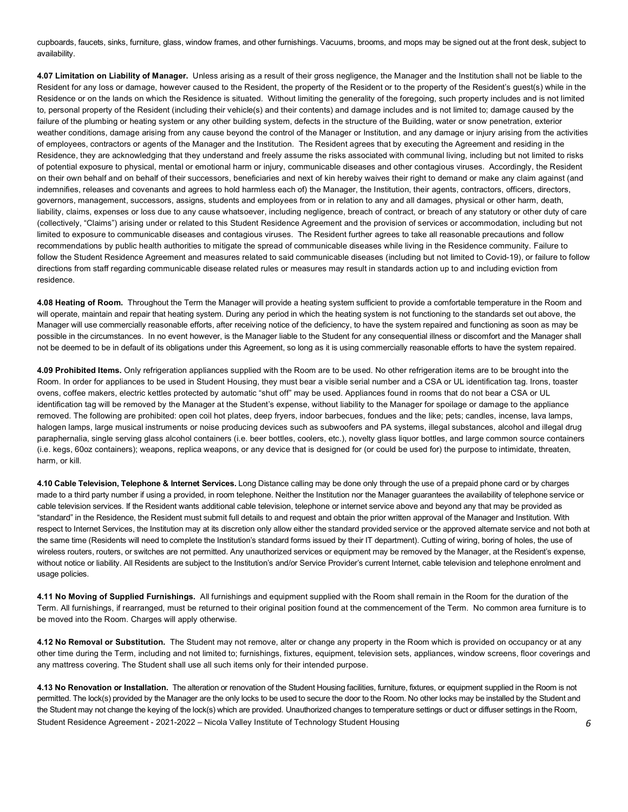cupboards, faucets, sinks, furniture, glass, window frames, and other furnishings. Vacuums, brooms, and mops may be signed out at the front desk, subject to availability.

 **4.07 Limitation on Liability of Manager.** Unless arising as a result of their gross negligence, the Manager and the Institution shall not be liable to the Resident for any loss or damage, however caused to the Resident, the property of the Resident or to the property of the Resident's guest(s) while in the Residence or on the lands on which the Residence is situated. Without limiting the generality of the foregoing, such property includes and is not limited to, personal property of the Resident (including their vehicle(s) and their contents) and damage includes and is not limited to; damage caused by the failure of the plumbing or heating system or any other building system, defects in the structure of the Building, water or snow penetration, exterior weather conditions, damage arising from any cause beyond the control of the Manager or Institution, and any damage or injury arising from the activities of employees, contractors or agents of the Manager and the Institution. The Resident agrees that by executing the Agreement and residing in the Residence, they are acknowledging that they understand and freely assume the risks associated with communal living, including but not limited to risks of potential exposure to physical, mental or emotional harm or injury, communicable diseases and other contagious viruses. Accordingly, the Resident on their own behalf and on behalf of their successors, beneficiaries and next of kin hereby waives their right to demand or make any claim against (and indemnifies, releases and covenants and agrees to hold harmless each of) the Manager, the Institution, their agents, contractors, officers, directors, governors, management, successors, assigns, students and employees from or in relation to any and all damages, physical or other harm, death, liability, claims, expenses or loss due to any cause whatsoever, including negligence, breach of contract, or breach of any statutory or other duty of care (collectively, "Claims") arising under or related to this Student Residence Agreement and the provision of services or accommodation, including but not limited to exposure to communicable diseases and contagious viruses. The Resident further agrees to take all reasonable precautions and follow recommendations by public health authorities to mitigate the spread of communicable diseases while living in the Residence community. Failure to follow the Student Residence Agreement and measures related to said communicable diseases (including but not limited to Covid-19), or failure to follow directions from staff regarding communicable disease related rules or measures may result in standards action up to and including eviction from residence.

 **4.08 Heating of Room.** Throughout the Term the Manager will provide a heating system sufficient to provide a comfortable temperature in the Room and will operate, maintain and repair that heating system. During any period in which the heating system is not functioning to the standards set out above, the Manager will use commercially reasonable efforts, after receiving notice of the deficiency, to have the system repaired and functioning as soon as may be possible in the circumstances. In no event however, is the Manager liable to the Student for any consequential illness or discomfort and the Manager shall not be deemed to be in default of its obligations under this Agreement, so long as it is using commercially reasonable efforts to have the system repaired.

 **4.09 Prohibited Items.** Only refrigeration appliances supplied with the Room are to be used. No other refrigeration items are to be brought into the Room. In order for appliances to be used in Student Housing, they must bear a visible serial number and a CSA or UL identification tag. Irons, toaster ovens, coffee makers, electric kettles protected by automatic "shut off" may be used. Appliances found in rooms that do not bear a CSA or UL identification tag will be removed by the Manager at the Student's expense, without liability to the Manager for spoilage or damage to the appliance removed. The following are prohibited: open coil hot plates, deep fryers, indoor barbecues, fondues and the like; pets; candles, incense, lava lamps, halogen lamps, large musical instruments or noise producing devices such as subwoofers and PA systems, illegal substances, alcohol and illegal drug paraphernalia, single serving glass alcohol containers (i.e. beer bottles, coolers, etc.), novelty glass liquor bottles, and large common source containers (i.e. kegs, 60oz containers); weapons, replica weapons, or any device that is designed for (or could be used for) the purpose to intimidate, threaten, harm, or kill.

 **4.10 Cable Television, Telephone & Internet Services.** Long Distance calling may be done only through the use of a prepaid phone card or by charges made to a third party number if using a provided, in room telephone. Neither the Institution nor the Manager guarantees the availability of telephone service or cable television services. If the Resident wants additional cable television, telephone or internet service above and beyond any that may be provided as "standard" in the Residence, the Resident must submit full details to and request and obtain the prior written approval of the Manager and Institution. With respect to Internet Services, the Institution may at its discretion only allow either the standard provided service or the approved alternate service and not both at the same time (Residents will need to complete the Institution's standard forms issued by their IT department). Cutting of wiring, boring of holes, the use of wireless routers, routers, or switches are not permitted. Any unauthorized services or equipment may be removed by the Manager, at the Resident's expense, without notice or liability. All Residents are subject to the Institution's and/or Service Provider's current Internet, cable television and telephone enrolment and usage policies.

 **4.11 No Moving of Supplied Furnishings.** All furnishings and equipment supplied with the Room shall remain in the Room for the duration of the Term. All furnishings, if rearranged, must be returned to their original position found at the commencement of the Term. No common area furniture is to be moved into the Room. Charges will apply otherwise.

 **4.12 No Removal or Substitution.** The Student may not remove, alter or change any property in the Room which is provided on occupancy or at any other time during the Term, including and not limited to; furnishings, fixtures, equipment, television sets, appliances, window screens, floor coverings and any mattress covering. The Student shall use all such items only for their intended purpose.

 Student Residence Agreement - 2021-2022 – Nicola Valley Institute of Technology Student Housing *6*  **4.13 No Renovation or Installation.** The alteration or renovation of the Student Housing facilities, furniture, fixtures, or equipment supplied in the Room is not permitted. The lock(s) provided by the Manager are the only locks to be used to secure the door to the Room. No other locks may be installed by the Student and the Student may not change the keying of the lock(s) which are provided. Unauthorized changes to temperature settings or duct or diffuser settings in the Room,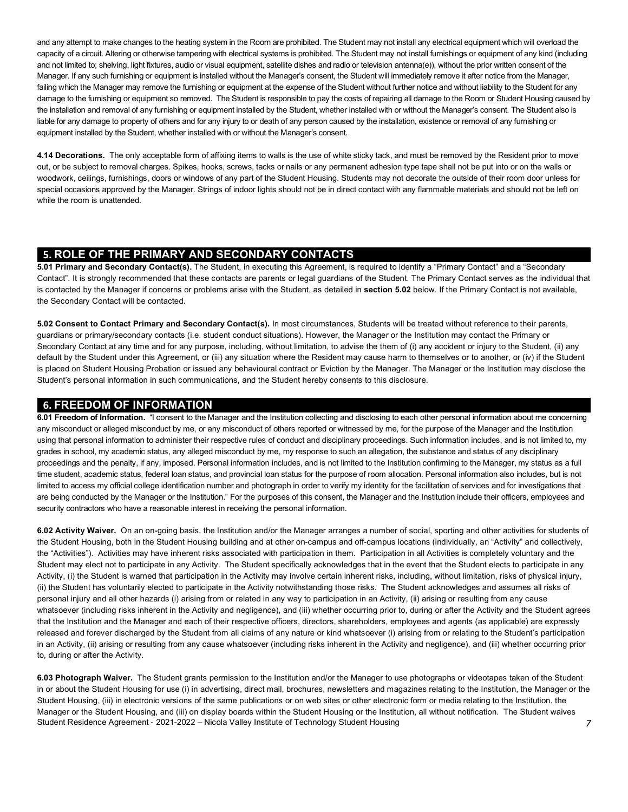and any attempt to make changes to the heating system in the Room are prohibited. The Student may not install any electrical equipment which will overload the capacity of a circuit. Altering or otherwise tampering with electrical systems is prohibited. The Student may not install furnishings or equipment of any kind (including and not limited to; shelving, light fixtures, audio or visual equipment, satellite dishes and radio or television antenna(e)), without the prior written consent of the Manager. If any such furnishing or equipment is installed without the Manager's consent, the Student will immediately remove it after notice from the Manager, failing which the Manager may remove the furnishing or equipment at the expense of the Student without further notice and without liability to the Student for any damage to the furnishing or equipment so removed. The Student is responsible to pay the costs of repairing all damage to the Room or Student Housing caused by the installation and removal of any furnishing or equipment installed by the Student, whether installed with or without the Manager's consent. The Student also is liable for any damage to property of others and for any injury to or death of any person caused by the installation, existence or removal of any furnishing or equipment installed by the Student, whether installed with or without the Manager's consent.

 **4.14 Decorations.** The only acceptable form of affixing items to walls is the use of white sticky tack, and must be removed by the Resident prior to move out, or be subject to removal charges. Spikes, hooks, screws, tacks or nails or any permanent adhesion type tape shall not be put into or on the walls or woodwork, ceilings, furnishings, doors or windows of any part of the Student Housing. Students may not decorate the outside of their room door unless for special occasions approved by the Manager. Strings of indoor lights should not be in direct contact with any flammable materials and should not be left on while the room is unattended.

# **5. ROLE OF THE PRIMARY AND SECONDARY CONTACTS**

 **5.01 Primary and Secondary Contact(s).** The Student, in executing this Agreement, is required to identify a "Primary Contact" and a "Secondary Contact". It is strongly recommended that these contacts are parents or legal guardians of the Student. The Primary Contact serves as the individual that is contacted by the Manager if concerns or problems arise with the Student, as detailed in **section 5.02** below. If the Primary Contact is not available, the Secondary Contact will be contacted.

 **5.02 Consent to Contact Primary and Secondary Contact(s).** In most circumstances, Students will be treated without reference to their parents, guardians or primary/secondary contacts (i.e. student conduct situations). However, the Manager or the Institution may contact the Primary or Secondary Contact at any time and for any purpose, including, without limitation, to advise the them of (i) any accident or injury to the Student, (ii) any default by the Student under this Agreement, or (iii) any situation where the Resident may cause harm to themselves or to another, or (iv) if the Student is placed on Student Housing Probation or issued any behavioural contract or Eviction by the Manager. The Manager or the Institution may disclose the Student's personal information in such communications, and the Student hereby consents to this disclosure.

# **6. FREEDOM OF INFORMATION**

 **6.01 Freedom of Information.** "I consent to the Manager and the Institution collecting and disclosing to each other personal information about me concerning any misconduct or alleged misconduct by me, or any misconduct of others reported or witnessed by me, for the purpose of the Manager and the Institution using that personal information to administer their respective rules of conduct and disciplinary proceedings. Such information includes, and is not limited to, my grades in school, my academic status, any alleged misconduct by me, my response to such an allegation, the substance and status of any disciplinary proceedings and the penalty, if any, imposed. Personal information includes, and is not limited to the Institution confirming to the Manager, my status as a full time student, academic status, federal loan status, and provincial loan status for the purpose of room allocation. Personal information also includes, but is not limited to access my official college identification number and photograph in order to verify my identity for the facilitation of services and for investigations that are being conducted by the Manager or the Institution." For the purposes of this consent, the Manager and the Institution include their officers, employees and security contractors who have a reasonable interest in receiving the personal information.

 **6.02 Activity Waiver.** On an on-going basis, the Institution and/or the Manager arranges a number of social, sporting and other activities for students of the Student Housing, both in the Student Housing building and at other on-campus and off-campus locations (individually, an "Activity" and collectively, the "Activities"). Activities may have inherent risks associated with participation in them. Participation in all Activities is completely voluntary and the Student may elect not to participate in any Activity. The Student specifically acknowledges that in the event that the Student elects to participate in any Activity, (i) the Student is warned that participation in the Activity may involve certain inherent risks, including, without limitation, risks of physical injury, (ii) the Student has voluntarily elected to participate in the Activity notwithstanding those risks. The Student acknowledges and assumes all risks of personal injury and all other hazards (i) arising from or related in any way to participation in an Activity, (ii) arising or resulting from any cause whatsoever (including risks inherent in the Activity and negligence), and (iii) whether occurring prior to, during or after the Activity and the Student agrees that the Institution and the Manager and each of their respective officers, directors, shareholders, employees and agents (as applicable) are expressly released and forever discharged by the Student from all claims of any nature or kind whatsoever (i) arising from or relating to the Student's participation in an Activity, (ii) arising or resulting from any cause whatsoever (including risks inherent in the Activity and negligence), and (iii) whether occurring prior to, during or after the Activity.

 Student Residence Agreement - 2021-2022 – Nicola Valley Institute of Technology Student Housing *7*  **6.03 Photograph Waiver.** The Student grants permission to the Institution and/or the Manager to use photographs or videotapes taken of the Student in or about the Student Housing for use (i) in advertising, direct mail, brochures, newsletters and magazines relating to the Institution, the Manager or the Student Housing, (iii) in electronic versions of the same publications or on web sites or other electronic form or media relating to the Institution, the Manager or the Student Housing, and (iii) on display boards within the Student Housing or the Institution, all without notification. The Student waives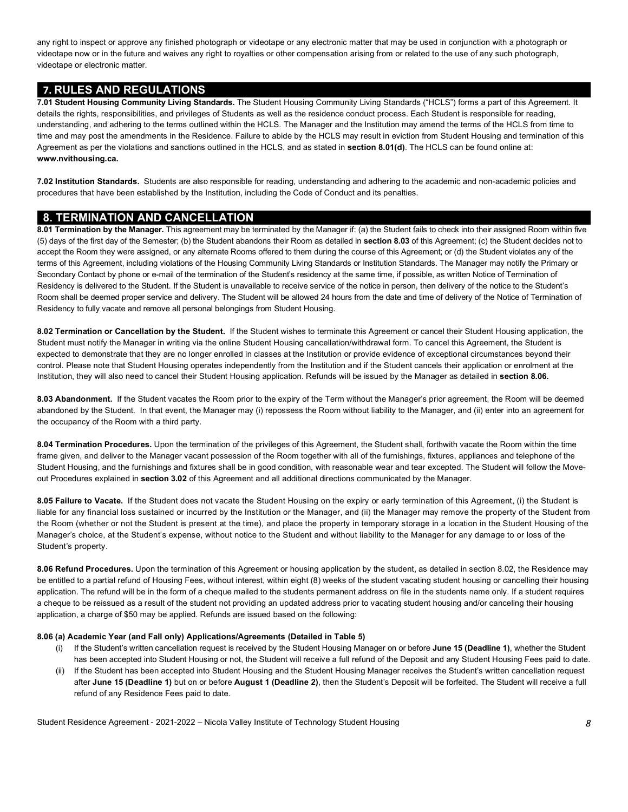any right to inspect or approve any finished photograph or videotape or any electronic matter that may be used in conjunction with a photograph or videotape now or in the future and waives any right to royalties or other compensation arising from or related to the use of any such photograph, videotape or electronic matter.

## **7. RULES AND REGULATIONS**

 **7.01 Student Housing Community Living Standards.** The Student Housing Community Living Standards ("HCLS") forms a part of this Agreement. It details the rights, responsibilities, and privileges of Students as well as the residence conduct process. Each Student is responsible for reading, understanding, and adhering to the terms outlined within the HCLS. The Manager and the Institution may amend the terms of the HCLS from time to time and may post the amendments in the Residence. Failure to abide by the HCLS may result in eviction from Student Housing and termination of this Agreement as per the violations and sanctions outlined in the HCLS, and as stated in **section 8.01(d)**. The HCLS can be found online at: **<www.nvithousing.ca>.** 

 **7.02 Institution Standards.** Students are also responsible for reading, understanding and adhering to the academic and non-academic policies and procedures that have been established by the Institution, including the Code of Conduct and its penalties.

## **8. TERMINATION AND CANCELLATION**

 (5) days of the first day of the Semester; (b) the Student abandons their Room as detailed in **section 8.03** of this Agreement; (c) the Student decides not to accept the Room they were assigned, or any alternate Rooms offered to them during the course of this Agreement; or (d) the Student violates any of the terms of this Agreement, including violations of the Housing Community Living Standards or Institution Standards. The Manager may notify the Primary or Secondary Contact by phone or e-mail of the termination of the Student's residency at the same time, if possible, as written Notice of Termination of Residency is delivered to the Student. If the Student is unavailable to receive service of the notice in person, then delivery of the notice to the Student's Room shall be deemed proper service and delivery. The Student will be allowed 24 hours from the date and time of delivery of the Notice of Termination of Residency to fully vacate and remove all personal belongings from Student Housing. **8.01 Termination by the Manager.** This agreement may be terminated by the Manager if: (a) the Student fails to check into their assigned Room within five

 **8.02 Termination or Cancellation by the Student.** If the Student wishes to terminate this Agreement or cancel their Student Housing application, the Student must notify the Manager in writing via the online Student Housing cancellation/withdrawal form. To cancel this Agreement, the Student is expected to demonstrate that they are no longer enrolled in classes at the Institution or provide evidence of exceptional circumstances beyond their control. Please note that Student Housing operates independently from the Institution and if the Student cancels their application or enrolment at the Institution, they will also need to cancel their Student Housing application. Refunds will be issued by the Manager as detailed in **section 8.06.** 

 **8.03 Abandonment.** If the Student vacates the Room prior to the expiry of the Term without the Manager's prior agreement, the Room will be deemed abandoned by the Student. In that event, the Manager may (i) repossess the Room without liability to the Manager, and (ii) enter into an agreement for the occupancy of the Room with a third party.

 **8.04 Termination Procedures.** Upon the termination of the privileges of this Agreement, the Student shall, forthwith vacate the Room within the time frame given, and deliver to the Manager vacant possession of the Room together with all of the furnishings, fixtures, appliances and telephone of the Student Housing, and the furnishings and fixtures shall be in good condition, with reasonable wear and tear excepted. The Student will follow the Move-out Procedures explained in **section 3.02** of this Agreement and all additional directions communicated by the Manager.

 **8.05 Failure to Vacate.** If the Student does not vacate the Student Housing on the expiry or early termination of this Agreement, (i) the Student is liable for any financial loss sustained or incurred by the Institution or the Manager, and (ii) the Manager may remove the property of the Student from the Room (whether or not the Student is present at the time), and place the property in temporary storage in a location in the Student Housing of the Manager's choice, at the Student's expense, without notice to the Student and without liability to the Manager for any damage to or loss of the Student's property.

 **8.06 Refund Procedures.** Upon the termination of this Agreement or housing application by the student, as detailed in section 8.02, the Residence may be entitled to a partial refund of Housing Fees, without interest, within eight (8) weeks of the student vacating student housing or cancelling their housing application. The refund will be in the form of a cheque mailed to the students permanent address on file in the students name only. If a student requires a cheque to be reissued as a result of the student not providing an updated address prior to vacating student housing and/or canceling their housing application, a charge of \$50 may be applied. Refunds are issued based on the following:

#### **8.06 (a) Academic Year (and Fall only) Applications/Agreements (Detailed in Table 5)**

- (i) If the Student's written cancellation request is received by the Student Housing Manager on or before **June 15 (Deadline 1)**, whether the Student has been accepted into Student Housing or not, the Student will receive a full refund of the Deposit and any Student Housing Fees paid to date.
- (ii) If the Student has been accepted into Student Housing and the Student Housing Manager receives the Student's written cancellation request  after **June 15 (Deadline 1)** but on or before **August 1 (Deadline 2)**, then the Student's Deposit will be forfeited. The Student will receive a full refund of any Residence Fees paid to date.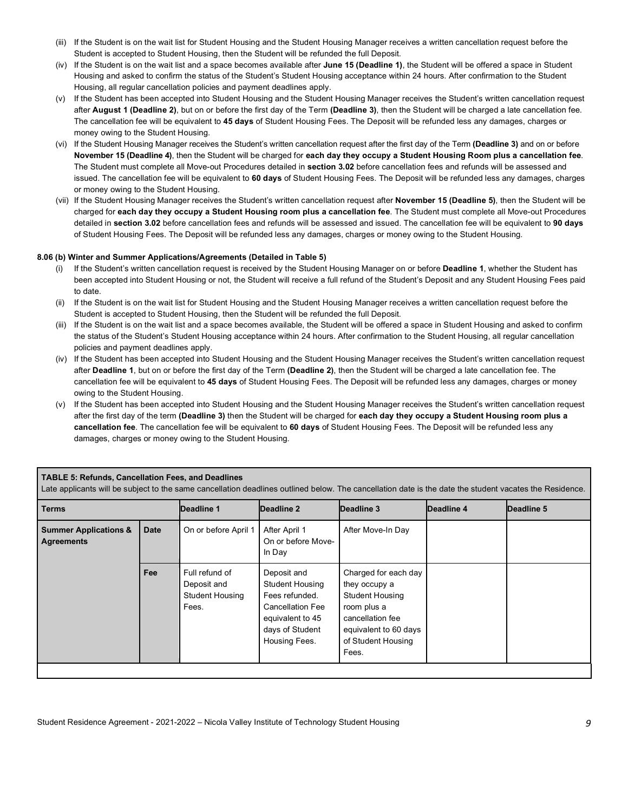- (iii) If the Student is on the wait list for Student Housing and the Student Housing Manager receives a written cancellation request before the Student is accepted to Student Housing, then the Student will be refunded the full Deposit.
- (iv) If the Student is on the wait list and a space becomes available after **June 15 (Deadline 1)**, the Student will be offered a space in Student Housing and asked to confirm the status of the Student's Student Housing acceptance within 24 hours. After confirmation to the Student Housing, all regular cancellation policies and payment deadlines apply.
- (v) If the Student has been accepted into Student Housing and the Student Housing Manager receives the Student's written cancellation request  after **August 1 (Deadline 2)**, but on or before the first day of the Term **(Deadline 3)**, then the Student will be charged a late cancellation fee. The cancellation fee will be equivalent to **45 days** of Student Housing Fees. The Deposit will be refunded less any damages, charges or money owing to the Student Housing.
- (vi) If the Student Housing Manager receives the Student's written cancellation request after the first day of the Term **(Deadline 3)** and on or before  **November 15 (Deadline 4)**, then the Student will be charged for **each day they occupy a Student Housing Room plus a cancellation fee**. The Student must complete all Move-out Procedures detailed in **section 3.02** before cancellation fees and refunds will be assessed and issued. The cancellation fee will be equivalent to **60 days** of Student Housing Fees. The Deposit will be refunded less any damages, charges or money owing to the Student Housing.
- (vii) If the Student Housing Manager receives the Student's written cancellation request after **November 15 (Deadline 5)**, then the Student will be charged for **each day they occupy a Student Housing room plus a cancellation fee**. The Student must complete all Move-out Procedures detailed in **section 3.02** before cancellation fees and refunds will be assessed and issued. The cancellation fee will be equivalent to **90 days**  of Student Housing Fees. The Deposit will be refunded less any damages, charges or money owing to the Student Housing.

#### **8.06 (b) Winter and Summer Applications/Agreements (Detailed in Table 5)**

- (i) If the Student's written cancellation request is received by the Student Housing Manager on or before **Deadline 1**, whether the Student has been accepted into Student Housing or not, the Student will receive a full refund of the Student's Deposit and any Student Housing Fees paid to date.
- (ii) If the Student is on the wait list for Student Housing and the Student Housing Manager receives a written cancellation request before the Student is accepted to Student Housing, then the Student will be refunded the full Deposit.
- (iii) If the Student is on the wait list and a space becomes available, the Student will be offered a space in Student Housing and asked to confirm the status of the Student's Student Housing acceptance within 24 hours. After confirmation to the Student Housing, all regular cancellation policies and payment deadlines apply.
- (iv) If the Student has been accepted into Student Housing and the Student Housing Manager receives the Student's written cancellation request after **Deadline 1**, but on or before the first day of the Term **(Deadline 2)**, then the Student will be charged a late cancellation fee. The cancellation fee will be equivalent to **45 days** of Student Housing Fees. The Deposit will be refunded less any damages, charges or money owing to the Student Housing.
- (v) If the Student has been accepted into Student Housing and the Student Housing Manager receives the Student's written cancellation request after the first day of the term **(Deadline 3)** then the Student will be charged for **each day they occupy a Student Housing room plus a cancellation fee**. The cancellation fee will be equivalent to **60 days** of Student Housing Fees. The Deposit will be refunded less any damages, charges or money owing to the Student Housing.

#### **TABLE 5: Refunds, Cancellation Fees, and Deadlines**

Late applicants will be subject to the same cancellation deadlines outlined below. The cancellation date is the date the student vacates the Residence.

| <b>Terms</b>                                          |             | Deadline 1                                                       | Deadline 2                                                                                                                                 | Deadline 3                                                                                                                                                 | Deadline 4 | Deadline 5 |
|-------------------------------------------------------|-------------|------------------------------------------------------------------|--------------------------------------------------------------------------------------------------------------------------------------------|------------------------------------------------------------------------------------------------------------------------------------------------------------|------------|------------|
| <b>Summer Applications &amp;</b><br><b>Agreements</b> | <b>Date</b> | On or before April 1                                             | After April 1<br>On or before Move-<br>In Day                                                                                              | After Move-In Day                                                                                                                                          |            |            |
|                                                       | Fee         | Full refund of<br>Deposit and<br><b>Student Housing</b><br>Fees. | Deposit and<br><b>Student Housing</b><br>Fees refunded.<br><b>Cancellation Fee</b><br>equivalent to 45<br>days of Student<br>Housing Fees. | Charged for each day<br>they occupy a<br><b>Student Housing</b><br>room plus a<br>cancellation fee<br>equivalent to 60 days<br>of Student Housing<br>Fees. |            |            |